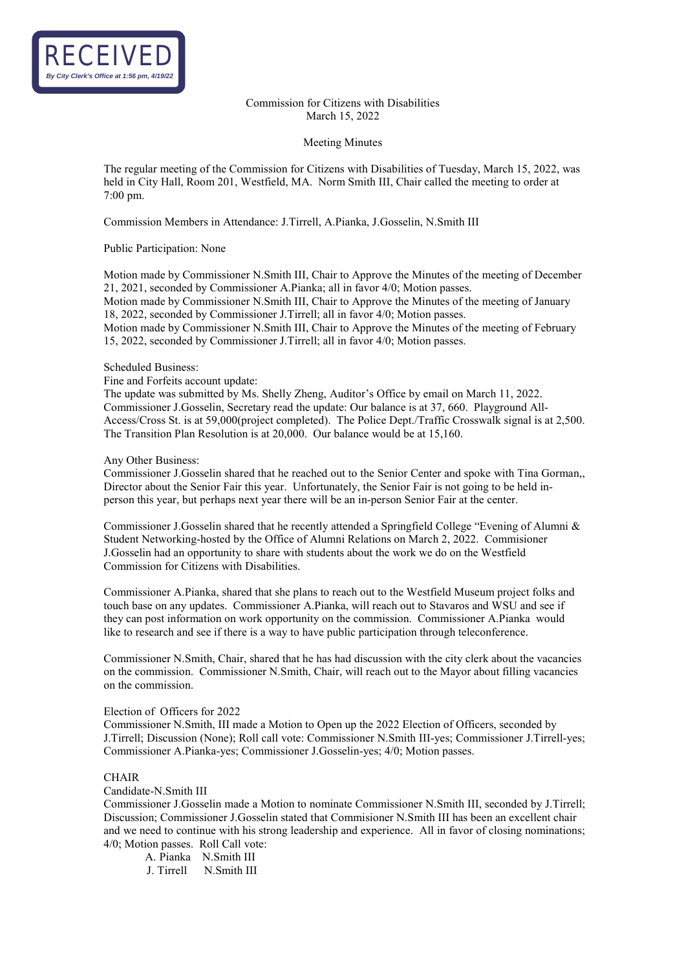

Commission for Citizens with Disabilities March 15, 2022

#### Meeting Minutes

The regular meeting of the Commission for Citizens with Disabilities of Tuesday, March 15, 2022, was held in City Hall, Room 201, Westfield, MA. Norm Smith III, Chair called the meeting to order at 7:00 pm.

Commission Members in Attendance: J.Tirrell, A.Pianka, J.Gosselin, N.Smith III

## Public Participation: None

Motion made by Commissioner N.Smith III, Chair to Approve the Minutes of the meeting of December 21, 2021, seconded by Commissioner A.Pianka; all in favor 4/0; Motion passes. Motion made by Commissioner N.Smith III, Chair to Approve the Minutes of the meeting of January 18, 2022, seconded by Commissioner J.Tirrell; all in favor 4/0; Motion passes. Motion made by Commissioner N.Smith III, Chair to Approve the Minutes of the meeting of February 15, 2022, seconded by Commissioner J.Tirrell; all in favor 4/0; Motion passes.

## Scheduled Business:

## Fine and Forfeits account update:

The update was submitted by Ms. Shelly Zheng, Auditor's Office by email on March 11, 2022. Commissioner J.Gosselin, Secretary read the update: Our balance is at 37, 660. Playground All-Access/Cross St. is at 59,000(project completed). The Police Dept./Traffic Crosswalk signal is at 2,500. The Transition Plan Resolution is at 20,000. Our balance would be at 15,160.

## Any Other Business:

Commissioner J.Gosselin shared that he reached out to the Senior Center and spoke with Tina Gorman,, Director about the Senior Fair this year. Unfortunately, the Senior Fair is not going to be held inperson this year, but perhaps next year there will be an in-person Senior Fair at the center.

Commissioner J.Gosselin shared that he recently attended a Springfield College "Evening of Alumni & Student Networking-hosted by the Office of Alumni Relations on March 2, 2022. Commisioner J.Gosselin had an opportunity to share with students about the work we do on the Westfield Commission for Citizens with Disabilities.

Commissioner A.Pianka, shared that she plans to reach out to the Westfield Museum project folks and touch base on any updates. Commissioner A.Pianka, will reach out to Stavaros and WSU and see if they can post information on work opportunity on the commission. Commissioner A.Pianka would like to research and see if there is a way to have public participation through teleconference.

Commissioner N.Smith, Chair, shared that he has had discussion with the city clerk about the vacancies on the commission. Commissioner N.Smith, Chair, will reach out to the Mayor about filling vacancies on the commission.

# Election of Officers for 2022

Commissioner N.Smith, III made a Motion to Open up the 2022 Election of Officers, seconded by J.Tirrell; Discussion (None); Roll call vote: Commissioner N.Smith III-yes; Commissioner J.Tirrell-yes; Commissioner A.Pianka-yes; Commissioner J.Gosselin-yes; 4/0; Motion passes.

#### CHAIR

#### Candidate-N.Smith III

Commissioner J.Gosselin made a Motion to nominate Commissioner N.Smith III, seconded by J.Tirrell; Discussion; Commissioner J.Gosselin stated that Commisioner N.Smith III has been an excellent chair and we need to continue with his strong leadership and experience. All in favor of closing nominations; 4/0; Motion passes. Roll Call vote:

A. Pianka N.Smith III J. Tirrell N.Smith III